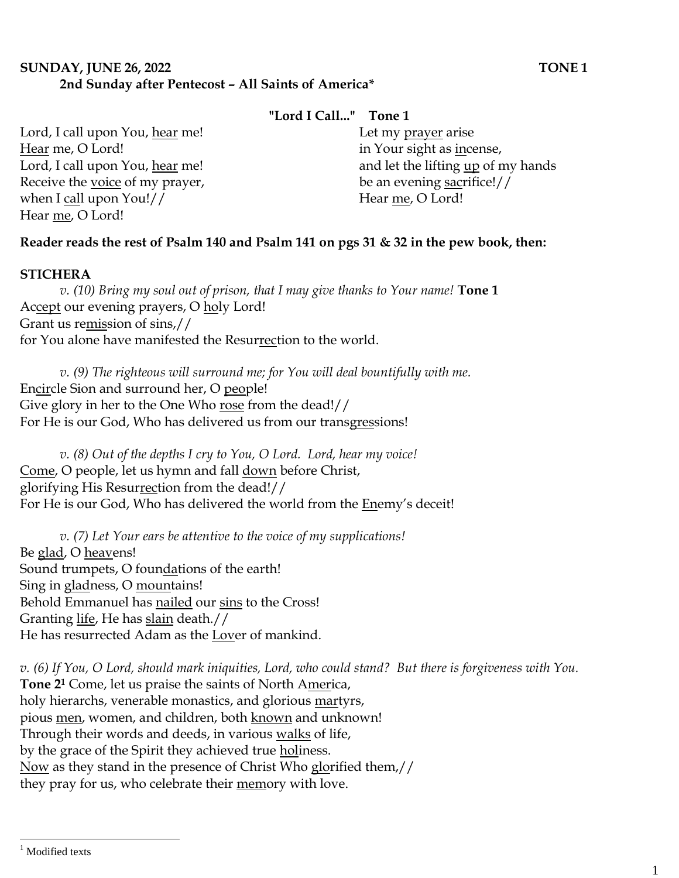# **SUNDAY, JUNE 26, 2022 TONE 1 2nd Sunday after Pentecost – All Saints of America\***

## **"Lord I Call..." Tone 1**

Lord, I call upon You, hear me! Hear me, O Lord! Lord, I call upon You, hear me! Receive the voice of my prayer, when I call upon You!// Hear me, O Lord!

## Let my prayer arise in Your sight as incense, and let the lifting up of my hands be an evening sacrifice!// Hear me, O Lord!

# **Reader reads the rest of Psalm 140 and Psalm 141 on pgs 31 & 32 in the pew book, then:**

### **STICHERA**

*v. (10) Bring my soul out of prison, that I may give thanks to Your name!* **Tone 1** Accept our evening prayers, O holy Lord! Grant us remission of sins,// for You alone have manifested the Resurrection to the world.

*v.* (9) The righteous will surround me; for You will deal bountifully with me. Encircle Sion and surround her, O people! Give glory in her to the One Who rose from the dead!// For He is our God, Who has delivered us from our transgressions!

*v. (8) Out of the depths I cry to You, O Lord. Lord, hear my voice!*  Come, O people, let us hymn and fall down before Christ, glorifying His Resurrection from the dead!// For He is our God, Who has delivered the world from the Enemy's deceit!

*v. (7) Let Your ears be attentive to the voice of my supplications!* Be glad, O heavens! Sound trumpets, O foundations of the earth! Sing in gladness, O mountains! Behold Emmanuel has nailed our sins to the Cross! Granting life, He has slain death.// He has resurrected Adam as the Lover of mankind.

*v. (6) If You, O Lord, should mark iniquities, Lord, who could stand? But there is forgiveness with You.*  **Tone 2<sup>1</sup>** Come, let us praise the saints of North America, holy hierarchs, venerable monastics, and glorious martyrs, pious men, women, and children, both known and unknown! Through their words and deeds, in various walks of life, by the grace of the Spirit they achieved true holiness. Now as they stand in the presence of Christ Who glorified them,// they pray for us, who celebrate their memory with love.

 $\overline{a}$ 

<sup>&</sup>lt;sup>1</sup> Modified texts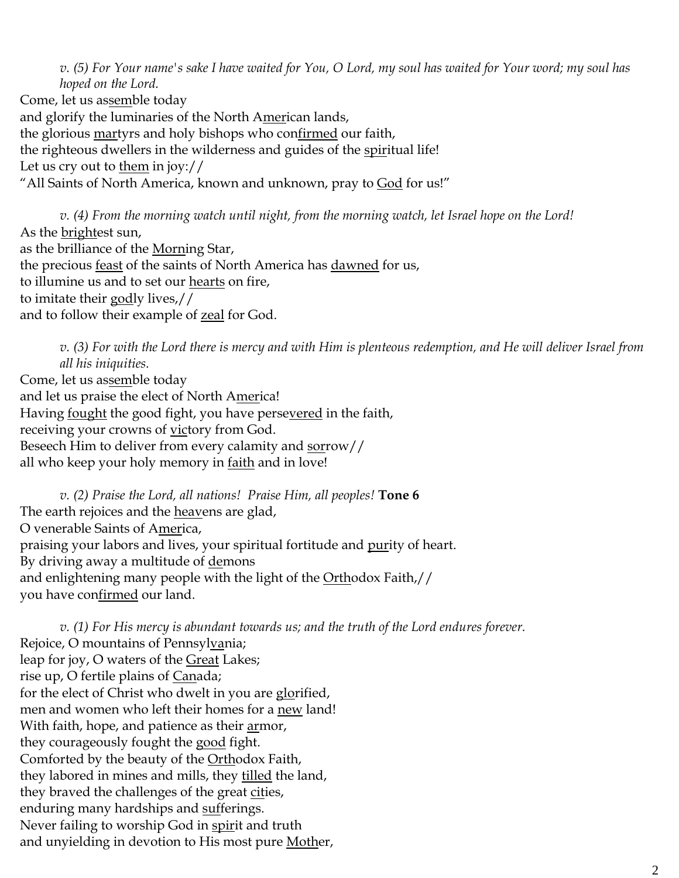*v. (5) For Your name's sake I have waited for You, O Lord, my soul has waited for Your word; my soul has hoped on the Lord.*  Come, let us assemble today and glorify the luminaries of the North American lands,

the glorious martyrs and holy bishops who confirmed our faith,

the righteous dwellers in the wilderness and guides of the spiritual life!

Let us cry out to them in joy://

"All Saints of North America, known and unknown, pray to God for us!"

*v. (4) From the morning watch until night, from the morning watch, let Israel hope on the Lord!*  As the brightest sun, as the brilliance of the Morning Star, the precious feast of the saints of North America has dawned for us, to illumine us and to set our hearts on fire, to imitate their godly lives,// and to follow their example of zeal for God.

*v. (3) For with the Lord there is mercy and with Him is plenteous redemption, and He will deliver Israel from all his iniquities.* Come, let us assemble today and let us praise the elect of North America! Having fought the good fight, you have persevered in the faith, receiving your crowns of victory from God. Beseech Him to deliver from every calamity and sorrow// all who keep your holy memory in <u>faith</u> and in love!

*v. (2) Praise the Lord, all nations! Praise Him, all peoples!* **Tone 6** The earth rejoices and the heavens are glad, O venerable Saints of America, praising your labors and lives, your spiritual fortitude and purity of heart. By driving away a multitude of demons and enlightening many people with the light of the Orthodox Faith,// you have confirmed our land.

*v. (1) For His mercy is abundant towards us; and the truth of the Lord endures forever.*  Rejoice, O mountains of Pennsylvania; leap for joy, O waters of the Great Lakes; rise up, O fertile plains of Canada; for the elect of Christ who dwelt in you are glorified, men and women who left their homes for a new land! With faith, hope, and patience as their armor, they courageously fought the good fight. Comforted by the beauty of the Orthodox Faith, they labored in mines and mills, they tilled the land, they braved the challenges of the great cities, enduring many hardships and sufferings. Never failing to worship God in spirit and truth and unyielding in devotion to His most pure Mother,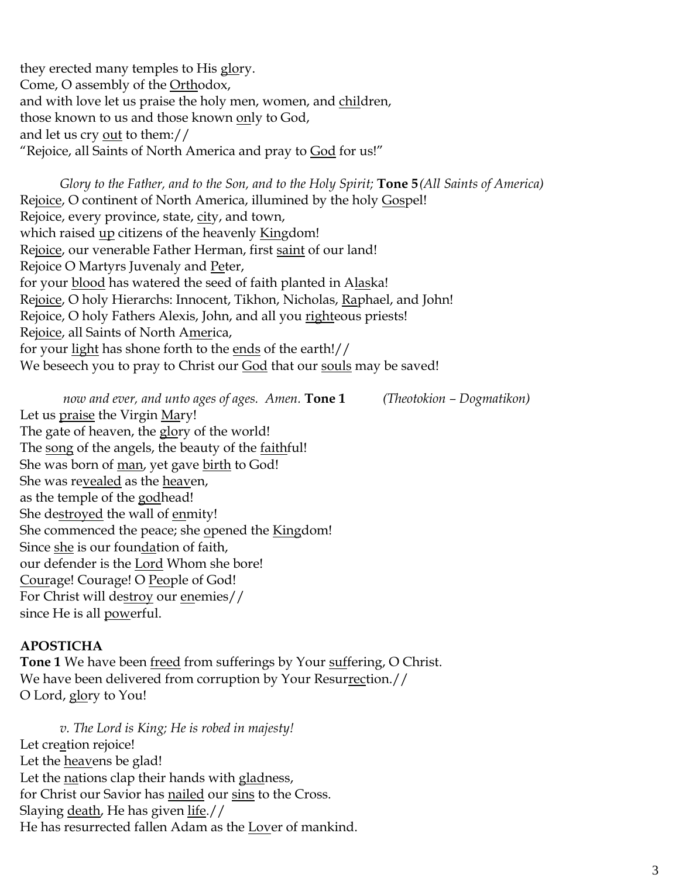they erected many temples to His glory. Come, O assembly of the Orthodox, and with love let us praise the holy men, women, and children, those known to us and those known only to God, and let us cry out to them:// "Rejoice, all Saints of North America and pray to God for us!"

*Glory to the Father, and to the Son, and to the Holy Spirit;* **Tone 5***(All Saints of America)* Rejoice, O continent of North America, illumined by the holy Gospel! Rejoice, every province, state, city, and town, which raised up citizens of the heavenly Kingdom! Rejoice, our venerable Father Herman, first saint of our land! Rejoice O Martyrs Juvenaly and Peter, for your blood has watered the seed of faith planted in Alaska! Rejoice, O holy Hierarchs: Innocent, Tikhon, Nicholas, Raphael, and John! Rejoice, O holy Fathers Alexis, John, and all you righteous priests! Rejoice, all Saints of North America, for your light has shone forth to the ends of the earth!// We beseech you to pray to Christ our God that our souls may be saved!

*now and ever, and unto ages of ages. Amen.* **Tone 1** *(Theotokion – Dogmatikon)*

Let us praise the Virgin Mary! The gate of heaven, the glory of the world! The song of the angels, the beauty of the faithful! She was born of man, yet gave birth to God! She was revealed as the heaven, as the temple of the godhead! She destroyed the wall of enmity! She commenced the peace; she opened the Kingdom! Since she is our foundation of faith, our defender is the Lord Whom she bore! Courage! Courage! O People of God! For Christ will destroy our enemies// since He is all powerful.

#### **APOSTICHA**

**Tone 1** We have been freed from sufferings by Your suffering, O Christ. We have been delivered from corruption by Your Resurrection.// O Lord, glory to You!

*v. The Lord is King; He is robed in majesty!*  Let creation rejoice! Let the **heavens** be glad! Let the nations clap their hands with gladness, for Christ our Savior has nailed our sins to the Cross. Slaying death, He has given life.// He has resurrected fallen Adam as the Lover of mankind.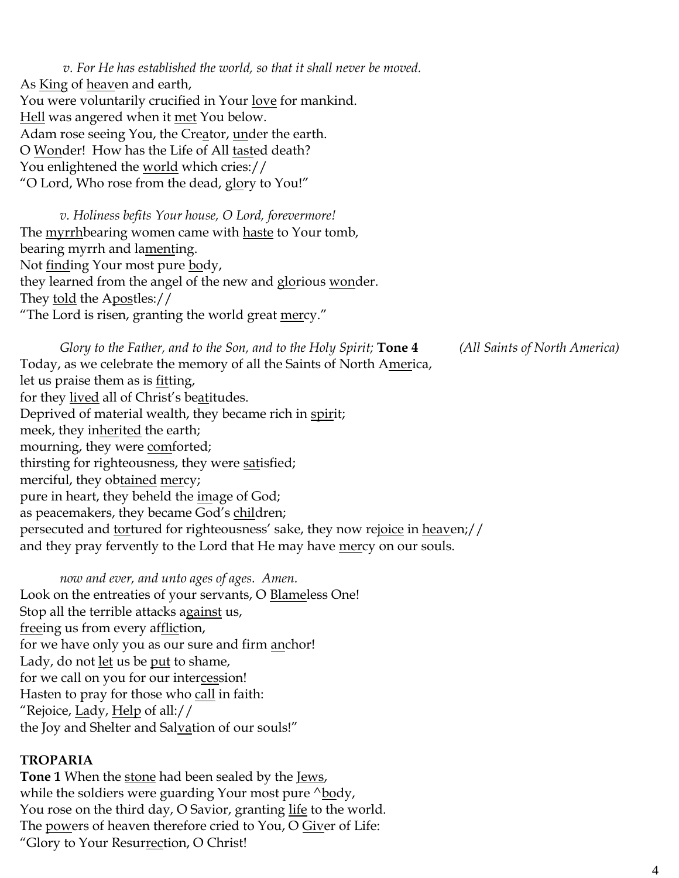*v. For He has established the world, so that it shall never be moved.* As **King** of heaven and earth, You were voluntarily crucified in Your <u>love</u> for mankind. Hell was angered when it met You below. Adam rose seeing You, the Creator, under the earth. O Wonder! How has the Life of All tasted death? You enlightened the <u>world</u> which cries:// "O Lord, Who rose from the dead, glory to You!"

*v. Holiness befits Your house, O Lord, forevermore!*  The myrrhbearing women came with haste to Your tomb, bearing myrrh and lamenting. Not <u>find</u>ing Your most pure **body**, they learned from the angel of the new and glorious wonder. They told the Apostles:// "The Lord is risen, granting the world great mercy."

*Glory to the Father, and to the Son, and to the Holy Spirit;* **Tone 4** *(All Saints of North America)* Today, as we celebrate the memory of all the Saints of North America, let us praise them as is *fitting*, for they lived all of Christ's beatitudes. Deprived of material wealth, they became rich in spirit; meek, they inherited the earth; mourning, they were **comforted**; thirsting for righteousness, they were satisfied; merciful, they obtained mercy; pure in heart, they beheld the *image* of God; as peacemakers, they became God's children; persecuted and tortured for righteousness' sake, they now rejoice in heaven;// and they pray fervently to the Lord that He may have mercy on our souls.

*now and ever, and unto ages of ages. Amen.*  Look on the entreaties of your servants, O **Blameless** One! Stop all the terrible attacks against us, freeing us from every affliction, for we have only you as our sure and firm <u>an</u>chor! Lady, do not <u>let</u> us be <u>put</u> to shame, for we call on you for our intercession! Hasten to pray for those who call in faith: "Rejoice, <u>La</u>dy, <u>Help</u> of all:// the Joy and Shelter and Salvation of our souls!"

#### **TROPARIA**

**Tone 1** When the stone had been sealed by the Jews, while the soldiers were guarding Your most pure  $\Delta$ body, You rose on the third day, O Savior, granting <u>life</u> to the world. The powers of heaven therefore cried to You, O Giver of Life: "Glory to Your Resurrection, O Christ!